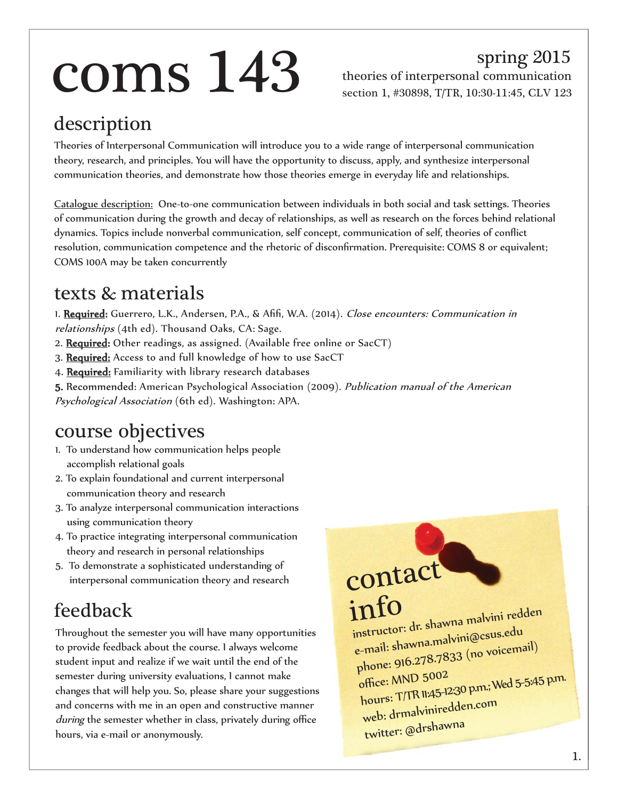# $\text{cons}$  143 theories of interpersonal communication

section 1, #30898, T/TR, 10:30-11:45, CLV 123 spring 2015

### description

Theories of Interpersonal Communication will introduce you to a wide range of interpersonal communication theory, research, and principles. You will have the opportunity to discuss, apply, and synthesize interpersonal communication theories, and demonstrate how those theories emerge in everyday life and relationships.

Catalogue description: One-to-one communication between individuals in both social and task settings. Theories of communication during the growth and decay of relationships, as well as research on the forces behind relational dynamics. Topics include nonverbal communication, self concept, communication of self, theories of conflict resolution, communication competence and the rhetoric of disconfirmation. Prerequisite: COMS 8 or equivalent; COMS 100A may be taken concurrently

#### texts & materials

1. Required: Guerrero, L.K., Andersen, P.A., & Afifi, W.A. (2014). Close encounters: Communication in relationships (4th ed). Thousand Oaks, CA: Sage.

- 2. Required: Other readings, as assigned. (Available free online or SacCT)
- 3. Required: Access to and full knowledge of how to use SacCT
- 4. Required: Familiarity with library research databases

5. Recommended: American Psychological Association (2009). Publication manual of the American Psychological Association (6th ed). Washington: APA.

#### course objectives

- 1. To understand how communication helps people accomplish relational goals
- 2. To explain foundational and current interpersonal communication theory and research
- 3. To analyze interpersonal communication interactions using communication theory
- 4. To practice integrating interpersonal communication theory and research in personal relationships
- 5. To demonstrate a sophisticated understanding of interpersonal communication theory and research

### feedback

Throughout the semester you will have many opportunities to provide feedback about the course. I always welcome student input and realize if we wait until the end of the semester during university evaluations, I cannot make changes that will help you. So, please share your suggestions and concerns with me in an open and constructive manner during the semester whether in class, privately during office hours, via e-mail or anonymously.

contact info instructor: dr. shawna malvini redden e-mail: shawna.malvini@csus.edu phone: 916.278.7833 (no voicemail) office: MND 5002 hours: T/TR 11:45-12:30 p.m.; Wed 5-5:45 p.m. web: drmalviniredden.com twitter: @drshawna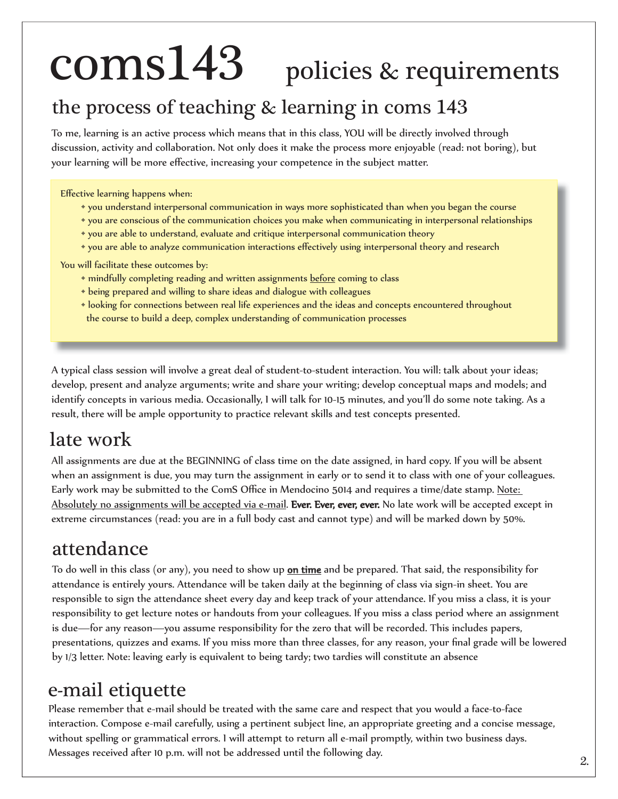# coms143 policies & requirements

#### the process of teaching & learning in coms 143

To me, learning is an active process which means that in this class, YOU will be directly involved through discussion, activity and collaboration. Not only does it make the process more enjoyable (read: not boring), but your learning will be more effective, increasing your competence in the subject matter.

#### Effective learning happens when:

- you understand interpersonal communication in ways more sophisticated than when you began the course
- you are conscious of the communication choices you make when communicating in interpersonal relationships
- you are able to understand, evaluate and critique interpersonal communication theory
- you are able to analyze communication interactions effectively using interpersonal theory and research

You will facilitate these outcomes by:

- \* mindfully completing reading and written assignments before coming to class
- being prepared and willing to share ideas and dialogue with colleagues
- looking for connections between real life experiences and the ideas and concepts encountered throughout the course to build a deep, complex understanding of communication processes

A typical class session will involve a great deal of student-to-student interaction. You will: talk about your ideas; develop, present and analyze arguments; write and share your writing; develop conceptual maps and models; and identify concepts in various media. Occasionally, I will talk for 10-15 minutes, and you'll do some note taking. As a result, there will be ample opportunity to practice relevant skills and test concepts presented.

#### late work

All assignments are due at the BEGINNING of class time on the date assigned, in hard copy. If you will be absent when an assignment is due, you may turn the assignment in early or to send it to class with one of your colleagues. Early work may be submitted to the ComS Office in Mendocino 5014 and requires a time/date stamp. Note: Absolutely no assignments will be accepted via e-mail. Ever. Ever, ever, ever. No late work will be accepted except in extreme circumstances (read: you are in a full body cast and cannot type) and will be marked down by 50%.

#### attendance

To do well in this class (or any), you need to show up **on time** and be prepared. That said, the responsibility for attendance is entirely yours. Attendance will be taken daily at the beginning of class via sign-in sheet. You are responsible to sign the attendance sheet every day and keep track of your attendance. If you miss a class, it is your responsibility to get lecture notes or handouts from your colleagues. If you miss a class period where an assignment is due—for any reason—you assume responsibility for the zero that will be recorded. This includes papers, presentations, quizzes and exams. If you miss more than three classes, for any reason, your final grade will be lowered by 1/3 letter. Note: leaving early is equivalent to being tardy; two tardies will constitute an absence

#### e-mail etiquette

Please remember that e-mail should be treated with the same care and respect that you would a face-to-face interaction. Compose e-mail carefully, using a pertinent subject line, an appropriate greeting and a concise message, without spelling or grammatical errors. I will attempt to return all e-mail promptly, within two business days. Messages received after 10 p.m. will not be addressed until the following day.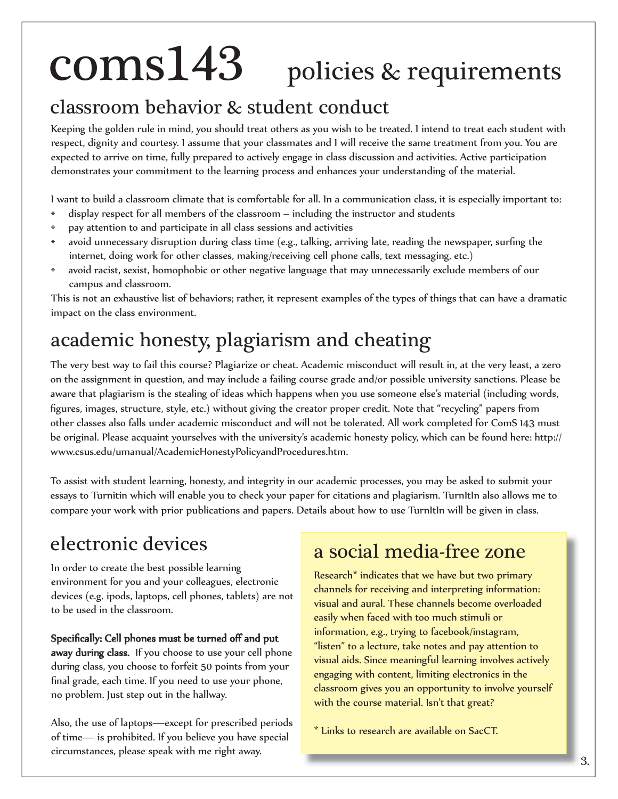# policies & requirements coms143

#### classroom behavior & student conduct

Keeping the golden rule in mind, you should treat others as you wish to be treated. I intend to treat each student with respect, dignity and courtesy. I assume that your classmates and I will receive the same treatment from you. You are expected to arrive on time, fully prepared to actively engage in class discussion and activities. Active participation demonstrates your commitment to the learning process and enhances your understanding of the material.

I want to build a classroom climate that is comfortable for all. In a communication class, it is especially important to:

- display respect for all members of the classroom including the instructor and students
- pay attention to and participate in all class sessions and activities
- avoid unnecessary disruption during class time (e.g., talking, arriving late, reading the newspaper, surfing the internet, doing work for other classes, making/receiving cell phone calls, text messaging, etc.)
- avoid racist, sexist, homophobic or other negative language that may unnecessarily exclude members of our campus and classroom.

This is not an exhaustive list of behaviors; rather, it represent examples of the types of things that can have a dramatic impact on the class environment.

### academic honesty, plagiarism and cheating

The very best way to fail this course? Plagiarize or cheat. Academic misconduct will result in, at the very least, a zero on the assignment in question, and may include a failing course grade and/or possible university sanctions. Please be aware that plagiarism is the stealing of ideas which happens when you use someone else's material (including words, figures, images, structure, style, etc.) without giving the creator proper credit. Note that "recycling" papers from other classes also falls under academic misconduct and will not be tolerated. All work completed for ComS 143 must be original. Please acquaint yourselves with the university's academic honesty policy, which can be found here: http:// www.csus.edu/umanual/AcademicHonestyPolicyandProcedures.htm.

To assist with student learning, honesty, and integrity in our academic processes, you may be asked to submit your essays to Turnitin which will enable you to check your paper for citations and plagiarism. TurnItIn also allows me to compare your work with prior publications and papers. Details about how to use TurnItIn will be given in class.

### electronic devices

In order to create the best possible learning environment for you and your colleagues, electronic devices (e.g. ipods, laptops, cell phones, tablets) are not to be used in the classroom.

Specifically: Cell phones must be turned off and put away during class. If you choose to use your cell phone during class, you choose to forfeit 50 points from your final grade, each time. If you need to use your phone, no problem. Just step out in the hallway.

Also, the use of laptops—except for prescribed periods of time— is prohibited. If you believe you have special circumstances, please speak with me right away.

#### a social media-free zone

Research\* indicates that we have but two primary channels for receiving and interpreting information: visual and aural. These channels become overloaded easily when faced with too much stimuli or information, e.g., trying to facebook/instagram, "listen" to a lecture, take notes and pay attention to visual aids. Since meaningful learning involves actively engaging with content, limiting electronics in the classroom gives you an opportunity to involve yourself with the course material. Isn't that great?

\* Links to research are available on SacCT.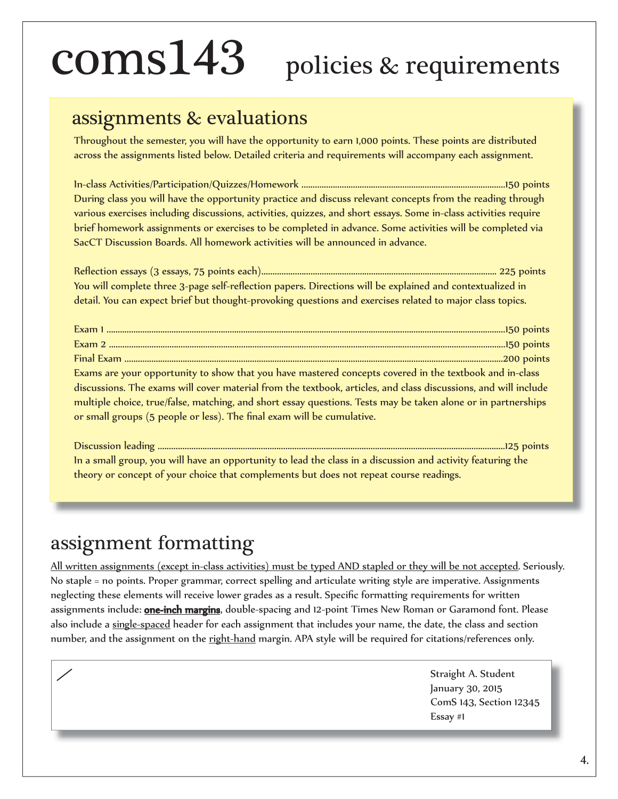# coms143 policies & requirements

#### assignments & evaluations

Throughout the semester, you will have the opportunity to earn 1,000 points. These points are distributed across the assignments listed below. Detailed criteria and requirements will accompany each assignment.

In-class Activities/Participation/Quizzes/Homework ...........................................................................................150 points During class you will have the opportunity practice and discuss relevant concepts from the reading through various exercises including discussions, activities, quizzes, and short essays. Some in-class activities require brief homework assignments or exercises to be completed in advance. Some activities will be completed via SacCT Discussion Boards. All homework activities will be announced in advance.

Refl ection essays (3 essays, 75 points each)......................................................................................................... 225 points You will complete three 3-page self-reflection papers. Directions will be explained and contextualized in detail. You can expect brief but thought-provoking questions and exercises related to major class topics.

Exam 1 ..................................................................................................................................................................................150 points Exam 2 .................................................................................................................................................................................150 points Final Exam .........................................................................................................................................................................200 points Exams are your opportunity to show that you have mastered concepts covered in the textbook and in-class discussions. The exams will cover material from the textbook, articles, and class discussions, and will include multiple choice, true/false, matching, and short essay questions. Tests may be taken alone or in partnerships or small groups (5 people or less). The final exam will be cumulative.

Discussion leading ...........................................................................................................................................................125 points In a small group, you will have an opportunity to lead the class in a discussion and activity featuring the theory or concept of your choice that complements but does not repeat course readings.

#### assignment formatting

All written assignments (except in-class activities) must be typed AND stapled or they will be not accepted. Seriously. No staple = no points. Proper grammar, correct spelling and articulate writing style are imperative. Assignments neglecting these elements will receive lower grades as a result. Specific formatting requirements for written assignments include: **one-inch margins**, double-spacing and 12-point Times New Roman or Garamond font. Please also include a single-spaced header for each assignment that includes your name, the date, the class and section number, and the assignment on the right-hand margin. APA style will be required for citations/references only.

> Straight A. Student January 30, 2015 ComS 143, Section 12345 Essay #1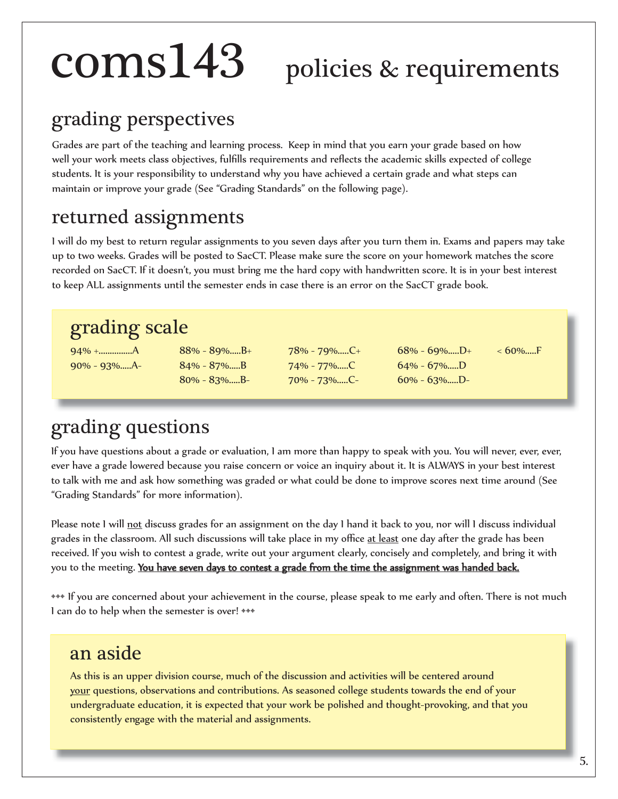## coms143 policies & requirements

### grading perspectives

Grades are part of the teaching and learning process. Keep in mind that you earn your grade based on how well your work meets class objectives, fulfills requirements and reflects the academic skills expected of college students. It is your responsibility to understand why you have achieved a certain grade and what steps can maintain or improve your grade (See "Grading Standards" on the following page).

### returned assignments

I will do my best to return regular assignments to you seven days after you turn them in. Exams and papers may take up to two weeks. Grades will be posted to SacCT. Please make sure the score on your homework matches the score recorded on SacCT. If it doesn't, you must bring me the hard copy with handwritten score. It is in your best interest to keep ALL assignments until the semester ends in case there is an error on the SacCT grade book.

### grading scale

90% - 93%.....A- 84% - 87%.....B 74% - 77%.....C 64% - 67%.....D 80% - 83%.....B- 70% - 73%.....C- 60% - 63%.....D-

94% +...............A 88% - 89%.....B+ 78% - 79%.....C+ 68% - 69%.....D+ < 60%.....F

### grading questions

If you have questions about a grade or evaluation, I am more than happy to speak with you. You will never, ever, ever, ever have a grade lowered because you raise concern or voice an inquiry about it. It is ALWAYS in your best interest to talk with me and ask how something was graded or what could be done to improve scores next time around (See "Grading Standards" for more information).

Please note I will not discuss grades for an assignment on the day I hand it back to you, nor will I discuss individual grades in the classroom. All such discussions will take place in my office at least one day after the grade has been received. If you wish to contest a grade, write out your argument clearly, concisely and completely, and bring it with you to the meeting. You have seven days to contest a grade from the time the assignment was handed back.

••• If you are concerned about your achievement in the course, please speak to me early and often. There is not much I can do to help when the semester is over! •••

#### an aside

As this is an upper division course, much of the discussion and activities will be centered around your questions, observations and contributions. As seasoned college students towards the end of your undergraduate education, it is expected that your work be polished and thought-provoking, and that you consistently engage with the material and assignments.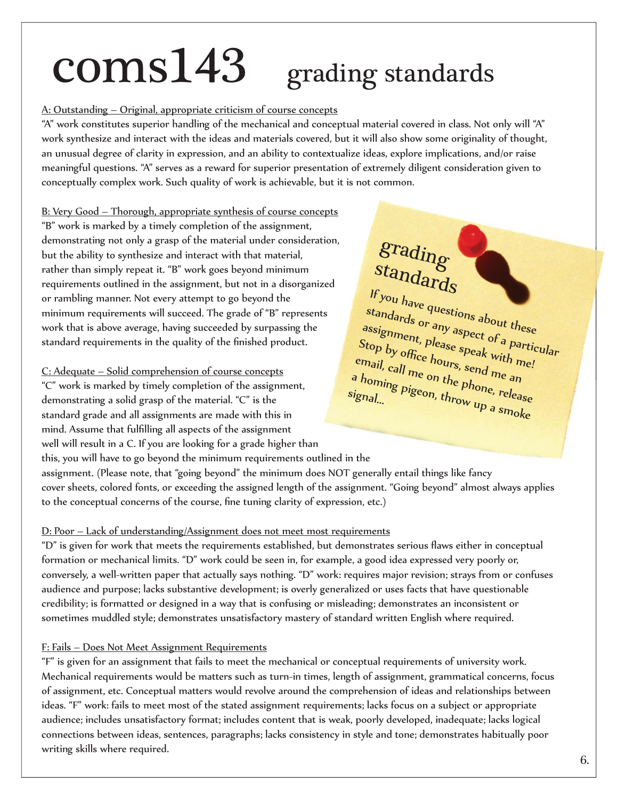# coms143 grading standards

#### A: Outstanding – Original, appropriate criticism of course concepts

"A" work constitutes superior handling of the mechanical and conceptual material covered in class. Not only will "A" work synthesize and interact with the ideas and materials covered, but it will also show some originality of thought, an unusual degree of clarity in expression, and an ability to contextualize ideas, explore implications, and/or raise meaningful questions. "A" serves as a reward for superior presentation of extremely diligent consideration given to conceptually complex work. Such quality of work is achievable, but it is not common.

B: Very Good – Thorough, appropriate synthesis of course concepts "B" work is marked by a timely completion of the assignment, demonstrating not only a grasp of the material under consideration, but the ability to synthesize and interact with that material, rather than simply repeat it. "B" work goes beyond minimum requirements outlined in the assignment, but not in a disorganized or rambling manner. Not every attempt to go beyond the minimum requirements will succeed. The grade of "B" represents work that is above average, having succeeded by surpassing the standard requirements in the quality of the finished product.

#### C: Adequate – Solid comprehension of course concepts

"C" work is marked by timely completion of the assignment, demonstrating a solid grasp of the material. "C" is the standard grade and all assignments are made with this in mind. Assume that fulfilling all aspects of the assignment well will result in a C. If you are looking for a grade higher than

### grading standards

If you have questions about these standards or any aspect of a particular assignment, please speak with me! Stop by office hours, send me an email, call me on the phone, release<br>a homing pigeon, throw up a signal a homing pigeon, the phone, release<br>ignal...<br>ignal... signal...

this, you will have to go beyond the minimum requirements outlined in the assignment. (Please note, that "going beyond" the minimum does NOT generally entail things like fancy cover sheets, colored fonts, or exceeding the assigned length of the assignment. "Going beyond" almost always applies to the conceptual concerns of the course, fine tuning clarity of expression, etc.)

#### D: Poor – Lack of understanding/Assignment does not meet most requirements

"D" is given for work that meets the requirements established, but demonstrates serious flaws either in conceptual formation or mechanical limits. "D" work could be seen in, for example, a good idea expressed very poorly or, conversely, a well-written paper that actually says nothing. "D" work: requires major revision; strays from or confuses audience and purpose; lacks substantive development; is overly generalized or uses facts that have questionable credibility; is formatted or designed in a way that is confusing or misleading; demonstrates an inconsistent or sometimes muddled style; demonstrates unsatisfactory mastery of standard written English where required.

#### F: Fails – Does Not Meet Assignment Requirements

"F" is given for an assignment that fails to meet the mechanical or conceptual requirements of university work. Mechanical requirements would be matters such as turn-in times, length of assignment, grammatical concerns, focus of assignment, etc. Conceptual matters would revolve around the comprehension of ideas and relationships between ideas. "F" work: fails to meet most of the stated assignment requirements; lacks focus on a subject or appropriate audience; includes unsatisfactory format; includes content that is weak, poorly developed, inadequate; lacks logical connections between ideas, sentences, paragraphs; lacks consistency in style and tone; demonstrates habitually poor writing skills where required.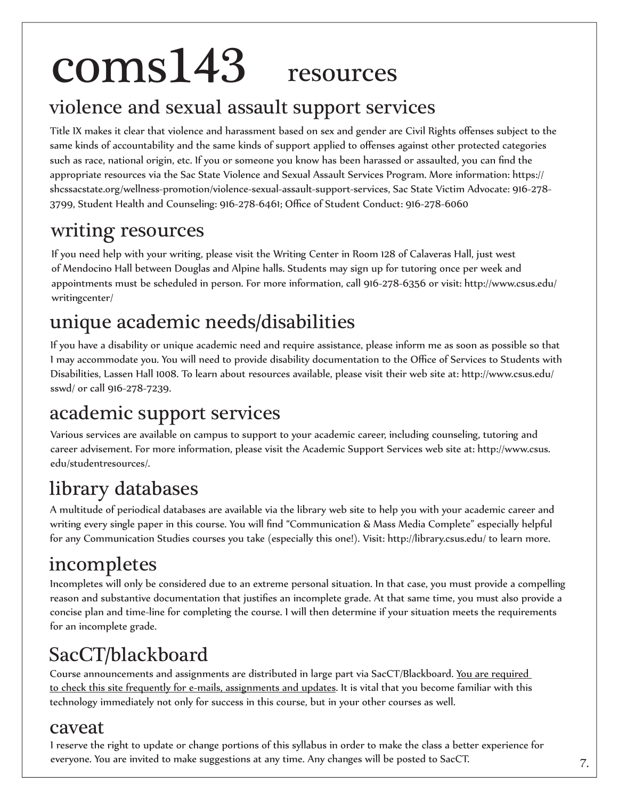# coms143 resources

#### violence and sexual assault support services

Title IX makes it clear that violence and harassment based on sex and gender are Civil Rights offenses subject to the same kinds of accountability and the same kinds of support applied to offenses against other protected categories such as race, national origin, etc. If you or someone you know has been harassed or assaulted, you can find the appropriate resources via the Sac State Violence and Sexual Assault Services Program. More information: https:// shcssacstate.org/wellness-promotion/violence-sexual-assault-support-services, Sac State Victim Advocate: 916-278- 3799, Student Health and Counseling: 916-278-6461; Office of Student Conduct: 916-278-6060

#### writing resources

If you need help with your writing, please visit the Writing Center in Room 128 of Calaveras Hall, just west of Mendocino Hall between Douglas and Alpine halls. Students may sign up for tutoring once per week and appointments must be scheduled in person. For more information, call 916-278-6356 or visit: http://www.csus.edu/ writingcenter/

#### unique academic needs/disabilities

If you have a disability or unique academic need and require assistance, please inform me as soon as possible so that I may accommodate you. You will need to provide disability documentation to the Office of Services to Students with Disabilities, Lassen Hall 1008. To learn about resources available, please visit their web site at: http://www.csus.edu/ sswd/ or call 916-278-7239.

### academic support services

Various services are available on campus to support to your academic career, including counseling, tutoring and career advisement. For more information, please visit the Academic Support Services web site at: http://www.csus. edu/studentresources/.

### library databases

A multitude of periodical databases are available via the library web site to help you with your academic career and writing every single paper in this course. You will find "Communication & Mass Media Complete" especially helpful for any Communication Studies courses you take (especially this one!). Visit: http://library.csus.edu/ to learn more.

### incompletes

Incompletes will only be considered due to an extreme personal situation. In that case, you must provide a compelling reason and substantive documentation that justifies an incomplete grade. At that same time, you must also provide a concise plan and time-line for completing the course. I will then determine if your situation meets the requirements for an incomplete grade.

### SacCT/blackboard

Course announcements and assignments are distributed in large part via SacCT/Blackboard. You are required to check this site frequently for e-mails, assignments and updates. It is vital that you become familiar with this technology immediately not only for success in this course, but in your other courses as well.

#### caveat

I reserve the right to update or change portions of this syllabus in order to make the class a better experience for everyone. You are invited to make suggestions at any time. Any changes will be posted to SacCT.